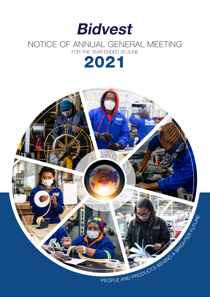

## NOTICE OF ANNUAL GENERAL MEETING FOR THE YEAR ENDED 30 JUNE



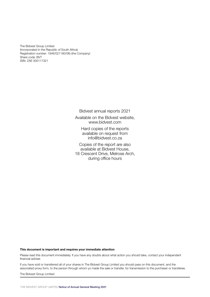The Bidvest Group Limited (Incorporated in the Republic of South Africa) Registration number: 1946/021180/06) (the Company) Share code: BVT ISIN: ZAE 000117321

Bidvest annual reports 2021

Available on the Bidvest website, www.bidvest.com

> Hard copies of the reports available on request from info@bidvest.co.za

Copies of the report are also available at Bidvest House, 18 Crescent Drive, Melrose Arch, during office hours

This document is important and requires your immediate attention

Please read this document immediately. If you have any doubts about what action you should take, contact your independent financial adviser.

If you have sold or transferred all of your shares in The Bidvest Group Limited you should pass on this document, and the associated proxy form, to the person through whom yo made the sale or transfer, for transmission to the purchaser or transferee.

The Bidvest Group Limited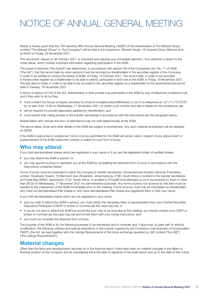# NOTICE OF ANNUAL GENERAL MEETING

Notice is hereby given that the 75th (seventy-fifth) Annual General Meeting ("AGM") of the shareholders of The Bidvest Group Limited ("The Bidvest Group" or "the Company") will be held in the boardroom, Bidvest House, 18 Crescent Drive, Melrose Arch, at 09:00 on Friday, 26 November 2021.

This document, issued on 25 October 2021, is important and requires your immediate attention. Your attention is drawn to the notes below, which contain important information regarding participation in the AGM.

The board of directors ("the board") has determined, in accordance with section 59 of the Companies Act, No. 71 of 2008 ("the Act"), that the record date by when persons must be recorded as shareholders in the securities register of the Company, in order to be entitled to receive the Notice of AGM, is Friday, 15 October 2021. The record date, in order to be recorded in thesecurities register as a shareholder to be able to attend, participate in and vote at the AGM, is Friday, 19 November 2021. The last date to trade, in order to be able to be recorded in the securities register as a shareholder on the aforementioned record date is Tuesday, 16 November 2021.

In terms of section 61(10) of the Act, shareholders or their proxies may participate in the AGM by way of telephone conference call, and if they wish to do so they:

- must contact the Group company secretary by email at nonqaba.katamzi@bidvest.co.za or by telephone at +27 (11) 772 8723 by no later than 14:00 on Wednesday, 17 November 2021, to obtain a pin number and dial-in details for the conference call;
- will be required to provide reasonably satisfactory identification; and
- must submit their voting proxies to the transfer secretaries in accordance with the instructions per the paragraph below.

Shareholders who choose this form of attendance may not vote telephonically at the AGM.

The above dates, times and other details of the AGM are subject to amendment. Any such material amendment will be released on SENS.

If the AGM is adjourned or postponed, forms of proxy submitted for the AGM will remain valid in respect of any adjournment or postponement of the AGM unless the contrary is stated on such form of proxy.

### Who may attend

If you hold dematerialised shares which are registered in your name or if you are the registered holder of certified shares:

- you may attend the AGM in person; or
- you may appoint a proxy to represent you at the AGM by completing the attached form of proxy in accordance with the instructions contained therein.

Forms of proxy must be forwarded to reach the Company's transfer secretaries, Computershare Investor Services Proprietary Limited, Rosebank Towers, 15 Biermann Ave, Rosebank, Johannesburg, 2196, South Africa or posted to the transfer secretaries at Private Bag X9000, Saxonwold, 2132, South Africa, or emailed to Proxy@Computershare.co.za to be received by them no later than 08:30 on Wednesday, 17 November 2021 for administrative purposes. Any forms of proxy not received by this time must be handed to the chairperson of the AGM immediately prior to the meeting. Forms of proxy must only be completed by shareholders who have not dematerialised their shares or who have dematerialised their shares and registered them in their own name.

If you hold dematerialised shares which are not registered in your name:

- and you wish to attend the AGM in person, you must obtain the necessary letter of representation from your Central Securities Depository Participant (CSDP) or broker or nominee (as the case may be); or
- if you do not wish to attend the AGM but would like your vote to be recorded at the meeting, you should contact your CSDP or broker or nominee (as the case may be) and furnish them with your voting instructions; and
- you must not complete the attached form of proxy.

The purpose of the AGM is for the following business to be transacted and to consider and, if approved, to pass with or without modification, the following ordinary and special resolutions, in the manner required by the Company's memorandum of incorporation ("MOI"), the Act, as read together with the Listings Requirements of the stock exchange operated by JSE Limited ("the JSE") ("the Listings Requirements").

## Material changes

Other than the facts and developments reported on in the financial report, there have been no material changes in the affairs or financial position of the Company and its subsidiaries since the date of signature of the audit report and up to the date of this notice.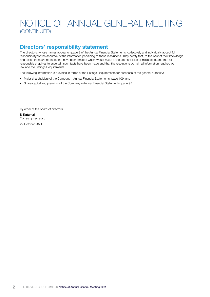## Directors' responsibility statement

The directors, whose names appear on page 8 of the Annual Financial Statements, collectively and individually accept full responsibility for the accuracy of the information pertaining to these resolutions. They certify that, to the best of their knowledge and belief, there are no facts that have been omitted which would make any statement false or misleading, and that all reasonable enquiries to ascertain such facts have been made and that the resolutions contain all information required by law and the Listings Requirements.

The following information is provided in terms of the Listings Requirements for purposes of the general authority:

- Major shareholders of the Company Annual Financial Statements, page 109; and
- Share capital and premium of the Company Annual Financial Statements, page 95.

By order of the board of directors

N Katamzi *Company secretary* 22 October 2021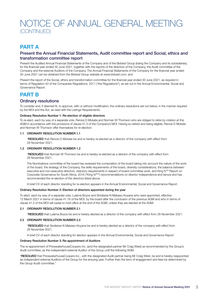## PART A

### Present the Annual Financial Statements, Audit committee report and Social, ethics and transformation committee report

Present the Audited Annual Financial Statements of the Company and of the Bidvest Group (being the Company and its subsidiaries), for the financial year ended 30 June 2021, together with the reports of the directors of the Company, the Audit committee of the Company and the external Auditors of the Company. The Annual Financial Statements of the Company for the financial year ended 30 June 2021 can be obtained from the Bidvest Group website at www.bidvest.com; and

Present the report of the Social, ethics and transformation committee for the financial year ended 30 June 2021, as required in terms of Regulation 43 of the Companies Regulations, 2011 ("the Regulations"), as set out in the Annual Environmental, Social and Governance Report.

## PART B

### Ordinary resolutions

To consider and, if deemed fit, to approve, with or without modification, the ordinary resolutions set out below, in the manner required by the MOI and the Act, as read with the Listings Requirements:

### Ordinary Resolution Number 1: Re-election of eligible directors

To re-elect, each by way of a separate vote, Renosi D Mokate and Norman W Thomson who are obliged to retire by rotation at this AGM in accordance with the provisions of clause 41.3 of the Company's MOI. Having so retired and being eligible, Renosi D Mokate and Norman W Thomson offer themselves for re-election:

### 1.1 ORDINARY RESOLUTION NUMBER 1.1

"RESOLVED that Renosi D Mokate be and is hereby re-elected as a director of the company with effect from 26 November 2021.

### 1.2 ORDINARY RESOLUTION NUMBER 1.2

"RESOLVED that Norman W Thomson be and is hereby re-elected as a director of the company with effect from 26 November 2021.

The Nominations committee of the board has reviewed the composition of the board taking into account the nature of the work of the board, the strategy of the Company, the skills requirements of the board, diversity considerations, the balance between executive and non-executive directors, statutory requirements in respect of board committee work, and King IVTM Report on Corporate Governance for South Africa, 2016 ("King IVTM") recommendations on director independence and tenure and has recommended the re-election of the directors listed above.

A brief CV of each director standing for re-election appears in the Annual Environmental, Social and Governance Report.

### Ordinary Resolution Number 2: Election of directors appointed during the year

To elect, each by way of a separate vote, Lulama Boyce and Sindisiwe N Mabaso-Koyana who were appointed, effective 12 March 2021 in terms of clause 41.16 of the MOI, by the board after the conclusion of the previous AGM and who in terms of clause 41.5 of the MOI will cease to hold office at the end of the AGM, unless they are elected at the AGM:

### 2.1 ORDINARY RESOLUTION NUMBER 2.1

"RESOLVED that Lulama Boyce be and is hereby elected as a director of the company with effect from 26 November 2021.

### 2.2 ORDINARY RESOLUTION NUMBER 2.2

"RESOLVED that Sindisiwe N Mabaso-Koyana be and is hereby elected as a director of the company with effect from 26 November 2021.

A brief CV of each director standing for election appears in the Annual Environmental, Social and Governance Report.

### Ordinary Resolution Number 3: Re-appointment of Auditors

The re-appointment of PricewaterhouseCoopers Inc. (and the designated partner Mr Craig West) as recommended by the Group's Audit committee, as the independent external Auditor of the Group until the following AGM.

"RESOLVED that PricewaterhouseCoopers Inc., with the designated Audit partner being Mr Craig West, be and is hereby reappointed as independent external Auditors of the Group for the ensuing year. Further than the term of engagement and fees be determined by the Group Audit committee."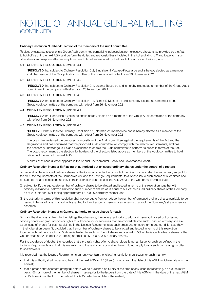### Ordinary Resolution Number 4: Election of the members of the Audit committee

To elect by separate resolutions a Group Audit committee comprising independent non-executive directors, as provided by the Act, to hold office until the next AGM and perform the duties and responsibilities stipulated in the Act and King IV™ and to perform such other duties and responsibilities as may from time to time be delegated by the board of directors for the Company.

### 4.1 ORDINARY RESOLUTION NUMBER 4.1

"RESOLVED that subject to Ordinary Resolution 2.2, Sindisiwe N Mabaso-Koyana be and is hereby elected as a member and chairperson of the Group Audit committee of the company with effect from 26 November 2021.

### 4.2 ORDINARY RESOLUTION NUMBER 4.2

"RESOLVED that subject to Ordinary Resolution 2.1, Lulama Boyce be and is hereby elected as a member of the Group Audit committee of the company with effect from 26 November 2021.

### 4.3 ORDINARY RESOLUTION NUMBER 4.3

"RESOLVED that subject to Ordinary Resolution 1.1, Renosi D Mokate be and is hereby elected as a member of the Group Audit committee of the company with effect from 26 November 2021.

### 4.4 ORDINARY RESOLUTION NUMBER 4.4

"RESOLVED that Nonzukiso Siyotula be and is hereby elected as a member of the Group Audit committee of the company with effect from 26 November 2021.

### 4.5 ORDINARY RESOLUTION NUMBER 4.5

"RESOLVED that subject to Ordinary Resolution 1.2, Norman W Thomson be and is hereby elected as a member of the Group Audit committee of the company with effect from 26 November 2021.

The board has reviewed the proposed composition of the Audit committee against the requirements of the Act and the Regulations and has confirmed that the proposed Audit committee will comply with the relevant requirements, and has the necessary knowledge, skills and experience to enable the Audit committee to perform its duties in terms of the Act. The board recommends the election, by holders, of the directors listed above as members of the Audit committee to hold office until the end of the next AGM.

A brief CV of each director appears in the Annual Environmental, Social and Governance Report.

### Ordinary Resolution Number 5: Placing of authorised but unissued ordinary shares under the control of directors

To place all of the unissued ordinary shares of the Company under the control of the directors, who shall be authorised, subject to the MOI, the requirements of the Companies Act and the Listings Requirements, to allot and issue such shares at such times and on such terms and conditions as they in their discretion deem fit until the next AGM of the Company, provided that:

- (i) subject to (ii), the aggregate number of ordinary shares to be allotted and issued in terms of this resolution together with ordinary resolution 6 below is limited to such number of shares as is equal to 5% of the issued ordinary shares of the Company as at 22 October 2021 (being approximately 17 000 000 ordinary shares); and
- (ii) the authority in terms of this resolution shall not derogate from or reduce the number of unissued ordinary shares available to be issued in terms of, any prior authority granted to the directors to issue shares in terms of any of the Company's share incentive schemes.

### Ordinary Resolution Number 6: General authority to issue shares for cash

To grant the directors, subject to the Listings Requirements, the general authority to allot and issue authorised but unissued ordinary shares (or grant options or rights to subscribe for, or securities that are convertible into such unissued ordinary shares) as an issue of shares for cash as defined in the Listings Requirements at such times and on such terms and conditions as they in their discretion deem fit, provided that the number of ordinary shares to be allotted and issued in terms of this resolution together with ordinary resolution 5 above is limited to such number of shares as is equal to 5% of the issued ordinary shares of the Company as at 22 October 2021 (being approximately 17 000 000 ordinary shares).

For the avoidance of doubt, it is recorded that a *pro rata* rights offer to shareholders is not an issue for cash as defined in the Listings Requirements and that this resolution and the restrictions contained herein do not apply to any such *pro rata* rights offer to shareholders.

It is recorded that the Listings Requirements currently contain the following restrictions on issues for cash, namely:

- that this authority shall not extend beyond the next AGM or 15 (fifteen) months from the date of this AGM, whichever date is the earliest;
- that a press announcement giving full details will be published on SENS at the time of any issue representing, on a cumulative basis, 5% or more of the number of shares in issue prior to the issue/s from the date of this AGM until the date of the next AGM or 15 (fifteen) months from the date of this AGM, whichever date is the earliest;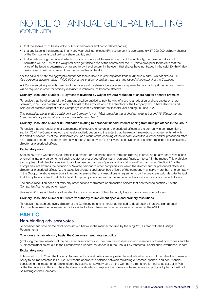- that the shares must be issued to public shareholders and not to related parties;
- that any issue in the aggregate in any one year shall not exceed 5% (five percent is approximately 17 000 000 ordinary shares) of the Company's issued ordinary share capital; and
- that in determining the price at which an issue of shares will be made in terms of this authority, the maximum discount permitted will be 10% of the weighted average traded price of the shares over the 30 (thirty) days prior to the date that the price of the issue is determined or agreed to by the directors. In the event that shares have not traded in the said 30 (thirty) day period a ruling will be obtained from the committee of the JSE.

*For the sake of clarity, the aggregate number of shares issued in ordinary resolutions numbered 5 and 6 will not exceed 5% (five percent is approximately 17 000 000 ordinary shares) of ordinary shares in the issued share capital of the Company.*

A 75% (seventy-five percent) majority of the votes cast by shareholders present or represented and voting at the general meeting will be required in order for ordinary resolution numbered 6 to become effective.

### Ordinary Resolution Number 7: Payment of dividend by way of *pro rata* reduction of share capital or share premium

To resolve that the directors of the Company shall be entitled to pay, by way of a *pro rata* reduction of share capital or share premium, *in lieu* of a dividend, an amount equal to the amount which the directors of the Company would have declared and paid out of profits in respect of the Company's interim dividend for the financial year ending 30 June 2021.

*This general authority shall be valid until the Company's next AGM, provided that it shall not extend beyond 15 (fifteen) months from the date of passing of this ordinary resolution number 7.*

### Ordinary Resolution Number 8: Ratification relating to personal financial interest arising from multiple offices in the Group

To resolve that any resolutions or agreements of executive directors and prescribed officers of the company in contravention of section 75 of the Companies Act, are hereby ratified, but only to the extent that the relevant resolutions or agreements fell within the ambit of section 75 of the Companies Act, as a result of the deeming of the relevant executive director and/or prescribed officer as a "related person" to another company in the Group, of which the relevant executive director and/or prescribed officer is also a director or prescribed officer.

### Explanatory note

Section 75 of the Companies Act, prohibits a director or prescribed officer from participating in or voting on any board resolutions or entering into any agreements if such director or prescribed officer has a "personal financial interest" in the matter. This prohibition also applies if that director is related to another person that has a "personal financial interest" in that matter. Section 75 of the Companies Act extends the definition of "related person" to other companies for which the director and/or prescribed officer is a director or prescribed officer. As the executive directors and prescribed officers of the company may serve more than one company in the Group, the above resolution is intended to ensure that any resolutions or agreements by the board are valid, despite the fact that it may have involved multiple Bidvest Group companies, served by the same individuals as directors or prescribed officers.

The above resolution does not ratify any other actions of directors or prescribed officers that contravened section 75 of the Companies Act, for any other reason.

Resolution 8 does not limit any other statutory or common law duties that apply to directors or prescribed officers.

### Ordinary Resolution Number 9: Directors' authority to implement special and ordinary resolutions

To resolve that each and every director of the Company be and is hereby authorised to do all such things and sign all such documents as may be necessary for or incidental to the ordinary and special resolutions passed at the AGM.

## PART C

### Non-binding advisory votes

To consider and vote on the resolutions set out below, in the manner required by the King IV™, as read with the Listings Requirements:

### To endorse, on an advisory basis, the Company's remuneration policy

(excluding the remuneration of the non-executive directors for their services as directors and members of board committees and the Audit committee) as set out in the Remuneration Report that appears in the Annual Environmental, Social and Governance Report.

### Explanatory note

In terms of King IV<sup>TM</sup> and the Listings Requirements, shareholders are requested to evaluate whether or not the tabled remuneration policy to be implemented in FY2022 strikes the appropriate balance between rewarding outcomes, financial and non-financial, considering the impact on all stakeholders by casting an advisory vote on the Company's remuneration policy as set out in Part 1 of the Remuneration Report. The vote allows shareholders to express their views on the remuneration policy adopted but will not be binding on the Company.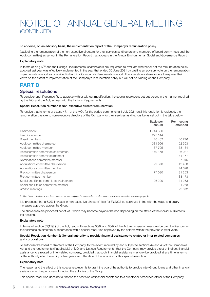### To endorse, on an advisory basis, the implementation report of the Company's remuneration policy

(excluding the remuneration of the non-executive directors for their services as directors and members of board committees and the Audit committee) as set out in the Remuneration Report that appears in the Annual Environmental, Social and Governance Report.

### Explanatory note

In terms of King IV<sup>TM</sup> and the Listings Requirements, shareholders are requested to evaluate whether or not the remuneration policy adopted last year was effectively implemented in the year that ended 30 June 2021 by casting an advisory vote on the remuneration implementation report as contained in Part 2 of Company's Remuneration report. The vote allows shareholders to express their views on the extent of implementation of the Company's remuneration policy but will not be binding on the Company.

## PART D

### Special resolutions

To consider and, if deemed fit, to approve with or without modification, the special resolutions set out below, in the manner required by the MOI and the Act, as read with the Listings Requirements.

### Special Resolution Number 1: Non-executive director remuneration

To resolve that in terms of clause 47.1 of the MOI, for the period commencing 1 July 2021 until this resolution is replaced, the remuneration payable to non-executive directors of the Company for their services as directors be as set out in the table below:

|                                         | Basic per<br>annum | Per meeting<br>attended |
|-----------------------------------------|--------------------|-------------------------|
| Chairperson <sup>1</sup>                | 1744866            |                         |
| Lead independent                        | 225 144            |                         |
| Board members                           | 116 462            | 46 776                  |
| Audit committee chairperson             | 331 966            | 52 503                  |
| Audit committee member                  | 87 705             | 38 184                  |
| Remuneration committee chairperson      | 149 158            | 36 037                  |
| Remuneration committee member           |                    | 41 167                  |
| Nominations committee member            |                    | 37 945                  |
| Acquisitions committee chairperson      | 99 876             | 42 480                  |
| Acquisitions committee member           |                    | 44 628                  |
| Risk committee chairperson              | 177 080            | 31 263                  |
| Risk committee member                   |                    | 33 173                  |
| Social and Ethics committee chairperson | 106 200            | 31 263                  |
| Social and Ethics committee member      |                    | 31 263                  |
| Ad hoc meetings                         |                    | 22 672                  |

*1 The Group chairperson's fees cover chairmanship and membership of all board committees. No other fees are payable.*

It is proposed that a 6.2% increase in non-executive directors' fees for FY2022 be approved in line with the wage and salary increases approved across the Group.

The above fees are proposed net of VAT which may become payable thereon depending on the status of the individual director's tax position.

### Explanatory note

In terms of section 65(11)(h) of the Act, read with sections 66(8) and 66(9) of the Act, remuneration may only be paid to directors for their services as directors in accordance with a special resolution approved by the holders within the previous 2 (two) years.

### Special Resolution Number 2: General authority to provide financial assistance to related or inter-related companies and corporations

To authorise the board of directors of the Company, to the extent required by and subject to sections 44 and 45 of the Companies Act and the requirements (if applicable) of MOI and Listings Requirements, that the Company may provide direct or indirect financial assistance to a related or inter-related company, provided that such financial assistance may only be provided at any time in terms of the authority after the expiry of two years from the date of the adoption of this special resolution.

### Explanatory note

The reason and the effect of this special resolution is to grant the board the authority to provide inter-Group loans and other financial assistance for the purposes of funding the activities of the Group.

This special resolution does not authorise the provision of financial assistance to a director or prescribed officer of the Company.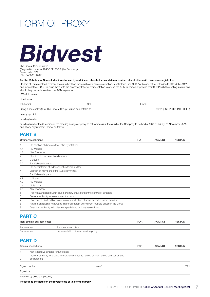# FORM OF PROXY

# Bidvest

The Bidvest Group Limited (Registration number 1946/021180/06) (the Company) Share code: BVT ISIN: ZAE000117321

### For the 75th Annual General Meeting – for use by certificated shareholders and dematerialised shareholders with own-name registration

Holders of dematerialised ordinary shares, other than those with own-name registration, must inform their CSDP or broker of their intention to attend the AGM and request their CSDP to issue them with the necessary letter of representation to attend the AGM in person or provide their CSDP with their voting instructions should they not wish to attend the AGM in person.

| I/We (full names) |  |
|-------------------|--|
|-------------------|--|

| of (address)                                                        |       |        |                            |
|---------------------------------------------------------------------|-------|--------|----------------------------|
| Tel (home)                                                          | Cell: | Email: |                            |
| Being a shareholder(s) of The Bidvest Group Limited and entitled to |       |        | votes (ONE PER SHARE HELD) |
| hereby appoint                                                      |       |        |                            |
| or failing him/her                                                  |       |        |                            |

or failing him/her the Chairman of the meeting as my/our proxy to act for me/us at the AGM of the Company to be held at 9:00 on Friday, 26 November 2021, and at any adjournment thereof as follows:

### PART B

|     | Ordinary resolutions                                                                            | <b>FOR</b> | <b>AGAINST</b> | <b>ABSTAIN</b> |
|-----|-------------------------------------------------------------------------------------------------|------------|----------------|----------------|
|     | Re-election of directors that retire by rotation:                                               |            |                |                |
| 1.1 | <b>RD</b> Mokate                                                                                |            |                |                |
| 1.2 | NW Thomson                                                                                      |            |                |                |
| 2   | Election of non-executive directors:                                                            |            |                |                |
| 2.1 | L Boyce                                                                                         |            |                |                |
| 2.2 | SN Mabaso-Koyana                                                                                |            |                |                |
| 3   | Re-appointment of independent external auditor                                                  |            |                |                |
| 4   | Election of members of the Audit committee                                                      |            |                |                |
| 4.1 | SN Mabaso-Koyana                                                                                |            |                |                |
| 4.2 | L Boyce                                                                                         |            |                |                |
| 4.3 | <b>RD</b> Mokate                                                                                |            |                |                |
| 4.4 | N Siyotula                                                                                      |            |                |                |
| 4.5 | NW Thomson                                                                                      |            |                |                |
| 5   | Placing authorised but unissued ordinary shares under the control of directors                  |            |                |                |
| 6   | General authority to issue shares for cash                                                      |            |                |                |
|     | Payment of dividend by way of pro rata reduction of share capital or share premium              |            |                |                |
| 8   | Ratification relating to personal financial interest arising from multiple offices in the Group |            |                |                |
| 9   | Directors' authority to implement special and ordinary resolutions                              |            |                |                |

### PART C

| Non-binding advisory votes |                                       | <b>FOR</b> | <b>AGAINST</b> | <b>ABSTAIN</b> |
|----------------------------|---------------------------------------|------------|----------------|----------------|
| Endorsement                | Remuneration policy                   |            |                |                |
| Endorsement                | Implementation of remuneration policy |            |                |                |

### PART D

|               | Special resolutions                                                                                         | <b>FOR</b> | <b>AGAINST</b> | <b>ABSTAIN</b> |
|---------------|-------------------------------------------------------------------------------------------------------------|------------|----------------|----------------|
|               | Non-executive director remuneration                                                                         |            |                |                |
| $\mathcal{P}$ | General authority to provide financial assistance to related or inter-related companies and<br>corporations |            |                |                |
|               | Signed on this<br>day of                                                                                    |            |                | 2021           |
| Signature     |                                                                                                             |            |                |                |

Assisted by (where applicable)

Please read the notes on the reverse side of this form of proxy.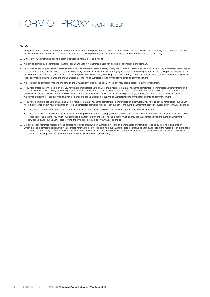# FORM OF PROXY (CONTINUED)

#### **NOTES**

- 1. The person whose name stands first on the form of proxy and who is present at the Annual General Meeting will be entitled to act as a proxy to the exclusion of those whose names follow thereafter. If no proxy is inserted in the spaces provided, the Chairperson shall be deemed to be appointed as the proxy.
- 2. Unless otherwise instructed above, a proxy is entitled to vote as he/she thinks fit.
- 3. A proxy appointed by a shareholder to attend, speak and vote in his/her stead need not also be a shareholder of the company.
- 4. In order to be effective, this form of proxy and the power of attorney or other authority (if any) under which it is signed, should be RECEIVED by the transfer secretaries of the company, Computershare Investor Services Proprietary Limited, not less than twenty-four (24) hours before the time appointed for the holding of the meeting or any adjournment thereof, as the case may be, at which the proxy proposes to vote, excluding Saturdays, Sundays and South African public holidays. Any forms of proxy not lodged by this time may be handed to the Chairperson of the Annual General Meeting immediately prior to its commencement.
- 5. Any alteration or correction made to this form of proxy must be initialled by the signatory(ies) but may not be accepted by the Chairperson.
- 6. If you hold shares in certificated form (i.e. you have not dematerialised your shares) or are registered as an own-name dematerialised shareholder, you may attend and vote at this meeting; alternatively, you may appoint a proxy to represent you at the meeting by completing the attached form of proxy and lodging it with the transfer secretaries of the company to be RECEIVED at least 24 hours before the time of the meeting, excluding Saturdays, Sundays and South African public holidays. Any forms of proxy not lodged by this time may be handed to the Chairperson of the Annual General Meeting immediately prior to its commencement.
- 7. If you have dematerialised your shares and are not registered as an own-name dematerialised shareholder (in other words, you have specifically instructed your CSDP not to hold your shares in your own name on TFG's uncertificated securities register), then subject to the custody agreement between yourself and your CSDP or broker:
	- If you wish to attend the meeting you must contact your CSDP or broker and obtain the relevant letter of representation from it; or
	- If you are unable to attend the meeting but wish to be represented at the meeting, you must contact your CSDP or broker and furnish it with your voting instructions in respect of the meeting. You must NOT complete the attached form of proxy. The instructions must be provided in accordance with the custody agreement between you and your CSDP or broker within the time period required by your CSDP or broker.
- 8. Brokers or their nominees recorded in the company's register should, when authorised in terms of their mandate or instructed to do so by the owner on behalf of whom they hold dematerialised shares in the company may vote by either appointing a duly authorised representative to attend and vote at the meeting or by completing the attached form of proxy in accordance with the instructions thereon, which must be RECEIVED by the transfer secretaries of the company at least 24 hours before the time of the meeting, excluding Saturdays, Sundays and South African public holidays.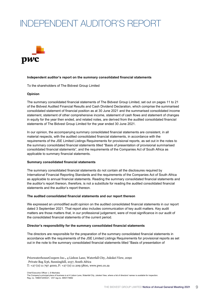# INDEPENDENT AUDITOR'S REPORT



### **Independent auditor's report on the summary consolidated financial statements**

To the shareholders of The Bidvest Group Limited

### **Opinion**

The summary consolidated financial statements of The Bidvest Group Limited, set out on pages 11 to 21 of the Bidvest Audited Financial Results and Cash Dividend Declaration, which comprise the summarised consolidated statement of financial position as at 30 June 2021 and the summarised consolidated income statement, statement of other comprehensive income, statement of cash flows and statement of changes in equity for the year then ended, and related notes, are derived from the audited consolidated financial statements of The Bidvest Group Limited for the year ended 30 June 2021.

In our opinion, the accompanying summary consolidated financial statements are consistent, in all material respects, with the audited consolidated financial statements, in accordance with the requirements of the JSE Limited Listings Requirements for provisional reports, as set out in the notes to the summary consolidated financial statements titled "Basis of presentation of provisional summarised consolidated financial statements", and the requirements of the Companies Act of South Africa as applicable to summary financial statements.

### **Summary consolidated financial statements**

The summary consolidated financial statements do not contain all the disclosures required by International Financial Reporting Standards and the requirements of the Companies Act of South Africa as applicable to annual financial statements. Reading the summary consolidated financial statements and the auditor's report thereon, therefore, is not a substitute for reading the audited consolidated financial statements and the auditor's report thereon.

### **The audited consolidated financial statements and our report thereon**

We expressed an unmodified audit opinion on the audited consolidated financial statements in our report dated 3 September 2021. That report also includes communication of key audit matters. Key audit matters are those matters that, in our professional judgement, were of most significance in our audit of the consolidated financial statements of the current period.

### **Director's responsibility for the summary consolidated financial statements**

The directors are responsible for the preparation of the summary consolidated financial statements in accordance with the requirements of the JSE Limited Listings Requirements for provisional reports as set out in the note to the summary consolidated financial statements titled "Basis of presentation of

PricewaterhouseCoopers Inc.**,** 4 Lisbon Lane, Waterfall City, Jukskei View, 2090 . Private Bag X36, Sunninghill, 2157, South Africa  $T: +27(0)$  11 797 4000,  $F: +27(0)$  11 209 5800, www.pwc.co.za

Chief Executive Officer: L S Machaba The Company's principal place of business is at 4 Lisbon Lane, Waterfall City, Jukskei View, where a list of directors' names is available for inspection. Reg. no. 1998/012055/21, VAT reg.no. 4950174682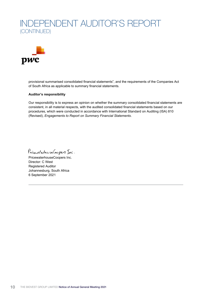# INDEPENDENT AUDITOR'S REPORT (CONTINUED)



provisional summarised consolidated financial statements", and the requirements of the Companies Act of South Africa as applicable to summary financial statements.

### **Auditor's responsibility**

Our responsibility is to express an opinion on whether the summary consolidated financial statements are consistent, in all material respects, with the audited consolidated financial statements based on our procedures, which were conducted in accordance with International Standard on Auditing (ISA) 810 (Revised), *Engagements to Report on Summary Financial Statements*.

PriewaterhauseCoopers Inc.

PricewaterhouseCoopers Inc. Director: C West Registered Auditor Johannesburg, South Africa 6 September 2021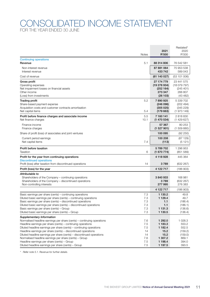## CONSOLIDATED INCOME STATEMENT FOR THE YEAR ENDED 30 JUNE

|                                                                                                                                        |              |                       | Restated*            |
|----------------------------------------------------------------------------------------------------------------------------------------|--------------|-----------------------|----------------------|
|                                                                                                                                        |              | 2021                  | 2020                 |
|                                                                                                                                        | <b>Notes</b> | R'000                 | R'000                |
| <b>Continuing operations</b><br>Revenue                                                                                                | 5.1          | 88 314 806            | 76 542 581           |
| Non-interest revenue                                                                                                                   |              | 87 881 064            | 75 953 538           |
| Interest revenue                                                                                                                       |              | 433742                | 589 043              |
| Cost of revenue                                                                                                                        |              | (61140027)            | (53101006)           |
| Gross profit                                                                                                                           |              | 27 174 779            | 23 441 575           |
| Operating expenses                                                                                                                     |              | (19 278 934)          | (18079797)           |
| Net impairment losses on financial assets<br>Other income                                                                              |              | (252164)<br>273 347   | (245 401)<br>266 807 |
| (Loss) from investments                                                                                                                |              | (26103)               | (43 482)             |
| <b>Trading profit</b>                                                                                                                  | 5.2          | 7890925               | 5 339 702            |
| Share-based payment expense                                                                                                            |              | (246096)              | (202 494)            |
| Acquisition costs and customer contracts amortisation                                                                                  |              | (305 025)             | (345 229)            |
| Net capital items                                                                                                                      | 5.4          | (179663)              | (1973149)            |
| Profit before finance charges and associate income<br>Net finance charges                                                              | 5.5<br>10.1  | 7 160 141             | 2818830              |
|                                                                                                                                        |              | (1470534)             | (1429627)            |
| Finance income<br>Finance charges                                                                                                      |              | 57 367<br>(1 527 901) | 80 253<br>(1509880)  |
| Share of profit (loss) of associates and joint ventures                                                                                |              | 100 095               | (92 250)             |
| Current period earnings                                                                                                                |              | 100 208               | (87129)              |
| Net capital items                                                                                                                      | 7.4          | (113)                 | (5121)               |
| Profit before taxation                                                                                                                 |              | 5789702               | 1 296 953            |
| <b>Taxation</b>                                                                                                                        | 6            | (1670774)             | (851 589)            |
| Profit for the year from continuing operations                                                                                         |              | 4 118 928             | 445 364              |
| <b>Discontinued operations</b><br>Profit (loss) after taxation from discontinued operations                                            | 14           | 3789                  | (632 267)            |
| Profit (loss) for the year                                                                                                             |              | 4 122 717             | (186903)             |
|                                                                                                                                        |              |                       |                      |
| Attributable to<br>Shareholders of the Company - continuing operations                                                                 |              | 3840933               | 168 981              |
| Shareholders of the Company - discontinued operations                                                                                  |              | 3789                  | (632 267)            |
| Non-controlling interests                                                                                                              |              | 277 995               | 276 383              |
|                                                                                                                                        |              | 4 1 2 2 7 1 7         | (186903)             |
| Basic earnings per share (cents) - continuing operations                                                                               | 7.3          | 1 130.2               | 49.8                 |
| Diluted basic earnings per share (cents) – continuing operations                                                                       | 7.3          | 1 1 2 9.4             | 49.7                 |
| Basic earnings per share (cents) – discontinued operations                                                                             | 7.3          | 1.1                   | (186.4)              |
| Diluted basic earnings per share (cents) – discontinued operations<br>Basic earnings per share (cents) – Group                         | 7.3<br>7.3   | 1.1<br>1 1 3 1 . 3    | (186.1)<br>(136.6)   |
| Diluted basic earnings per share (cents) - Group                                                                                       | 7.3          | 1 130.5               | (136.4)              |
| Supplementary Information                                                                                                              |              |                       |                      |
| Normalised headline earnings per share (cents) – continuing operations                                                                 | 7.6          | 1 292.0               | 1 0 28.3             |
| Headline earnings per share (cents) - continuing operations                                                                            | 7.5          | 1 183.3               | 553.2                |
| Diluted headline earnings per share (cents) - continuing operations                                                                    | 7.5          | 1 182.4               | 552.5                |
| Headline earnings per share (cents) - discontinued operations<br>Diluted headline earnings per share (cents) - discontinued operations | 14<br>14     | 15.2<br>15.2          | (159.2)<br>(159.0)   |
| Normalised headline earnings per share (cents) - Group                                                                                 | 7.6          | 1 307.2               | 869.1                |
| Headline earnings per share (cents) - Group                                                                                            | 7.5          | 1 198.4               | 394.0                |
| Diluted headline earnings per share (cents) - Group                                                                                    | 7.5          | 1 197.5               | 393.5                |

*\* Refer note 5.1. Revenue for further details.*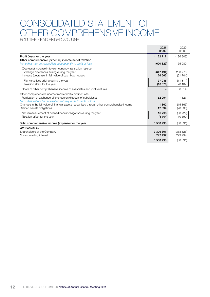# CONSOLIDATED STATEMENT OF OTHER COMPREHENSIVE INCOME

FOR THE YEAR ENDED 30 JUNE

|                                                                                                                                                                                                   | 2021<br>R'000            | 2020<br>R'000       |
|---------------------------------------------------------------------------------------------------------------------------------------------------------------------------------------------------|--------------------------|---------------------|
| Profit (loss) for the year                                                                                                                                                                        | 4 1 2 2 7 1 7            | (186903)            |
| Other comprehensive (expense) income net of taxation<br>Items that may be reclassified subsequently to profit or loss                                                                             | (620 829)                | 155 080             |
| (Decrease) increase in foreign currency translation reserve<br>Exchange differences arising during the year<br>Increase (decrease) in fair value of cash flow hedges                              | (647494)<br>26 665       | 200 770<br>(51 704) |
| Fair value loss arising during the year<br>Taxation effect for the year                                                                                                                           | 37 035<br>(10370)        | (71811)<br>20 107   |
| Share of other comprehensive income of associates and joint ventures                                                                                                                              |                          | 6014                |
| Other comprehensive income transferred to profit or loss<br>Realisation of exchange differences on disposal of subsidiaries<br>Items that will not be reclassified subsequently to profit or loss | 52 954                   | 7 3 2 7             |
| Changes in the fair value of financial assets recognised through other comprehensive income<br>Defined benefit obligations                                                                        | 1862<br>12 094           | (15865)<br>(28030)  |
| Net remeasurement of defined benefit obligations during the year<br>Taxation effect for the year                                                                                                  | 16798<br>(4704)          | (38729)<br>10 699   |
| Total comprehensive income (expense) for the year                                                                                                                                                 | 3 568 798                | (68391)             |
| Attributable to<br>Shareholders of the Company<br>Non-controlling interest                                                                                                                        | 3 3 2 6 3 0 1<br>242 497 | (368125)<br>299 734 |
|                                                                                                                                                                                                   | 3 5 68 7 98              | (68391)             |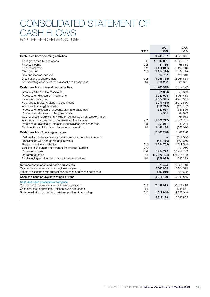## CONSOLIDATED STATEMENT OF CASH FLOWS FOR THE YEAR ENDED 30 JUNE

|                                                                                                                                                                                                                                                                                                                                                                                                                                                                                                                                                   | <b>Notes</b>                             | 2021<br>R'000                                                                                                                            | 2020<br>R'000                                                                                                               |
|---------------------------------------------------------------------------------------------------------------------------------------------------------------------------------------------------------------------------------------------------------------------------------------------------------------------------------------------------------------------------------------------------------------------------------------------------------------------------------------------------------------------------------------------------|------------------------------------------|------------------------------------------------------------------------------------------------------------------------------------------|-----------------------------------------------------------------------------------------------------------------------------|
| Cash flows from operating activities                                                                                                                                                                                                                                                                                                                                                                                                                                                                                                              |                                          | 9743707                                                                                                                                  | 4 258 631                                                                                                                   |
| Cash generated by operations<br>Finance income<br>Finance charges<br>Taxation paid<br>Dividend income received<br>Distributions to shareholders<br>Net operating cash flows from discontinued operations                                                                                                                                                                                                                                                                                                                                          | 5.6<br>10.2<br>10.2<br>6.2<br>13.2<br>14 | 13 547 301<br>41 166<br>(1452812)<br>(1814274)<br>97 767<br>(1068734)<br>393 293                                                         | 9 0 5 7 7 9 7<br>63 688<br>(1495743)<br>(1454118)<br>123 910<br>(2 267 564)<br>232 661                                      |
| Cash flows from of investment activities                                                                                                                                                                                                                                                                                                                                                                                                                                                                                                          |                                          | (1786943)                                                                                                                                | (331919)                                                                                                                    |
| Amounts advanced to associates<br>Proceeds on disposal of investments<br>Investments acquired<br>Additions to property, plant and equipment<br>Additions to intangible assets<br>Proceeds on disposal of property, plant and equipment<br>Proceeds on disposal of intangible assets<br>Cash and cash equivalents arising on consolidation of Adcock Ingram<br>Acquisition of businesses, subsidiaries and associates<br>Proceeds on disposal of interests in subsidiaries and associates<br>Net investing activities from discontinued operations | 9.2<br>9.3<br>14                         | (61954)<br>2 747 929<br>(2364541)<br>(2 270 439)<br>(328 710)<br>353 537<br>4555<br>$\qquad \qquad =$<br>(1508717)<br>201 211<br>1440186 | (58632)<br>3964433<br>(425858)<br>(2019560)<br>(190109)<br>341 509<br>48 699<br>467 913<br>(1011785)<br>49 934<br>(653 016) |
| Cash flows from financing activities                                                                                                                                                                                                                                                                                                                                                                                                                                                                                                              |                                          | (7083290)                                                                                                                                | 2 041 278                                                                                                                   |
| Part held subsidiary share buy-back from non-controlling interests<br>Transactions with non-controlling interests<br>Repayment of lease liabilities<br>Settlement of puttable non-controlling interest liabilities<br>Borrowings raised<br>Borrowings repaid<br>Net financing activities from discontinued operations                                                                                                                                                                                                                             | 8.2<br>10.5<br>10.4<br>10.4<br>14        | (481 410)<br>(1294769)<br>5 424 273<br>(10372402)<br>(358982)                                                                            | (154056)<br>(200650)<br>(1017544)<br>(57050)<br>19 954 763<br>(16774408)<br>290 223                                         |
| Net increase in cash and cash equivalents<br>Cash and cash equivalents at beginning of year<br>Effects of exchange rate fluctuations on cash and cash equivalents                                                                                                                                                                                                                                                                                                                                                                                 |                                          | 873 474<br>5 343 865<br>(399 210)                                                                                                        | 2980710<br>2 0 34 5 23<br>328 632                                                                                           |
| Cash and cash equivalents at end of year                                                                                                                                                                                                                                                                                                                                                                                                                                                                                                          |                                          | 5818129                                                                                                                                  | 5 343 865                                                                                                                   |
| Cash and cash equivalents comprise<br>Cash and cash equivalents - continuing operations<br>Cash and cash equivalents - discontinued operations<br>Bank overdrafts included in short-term portion of borrowings                                                                                                                                                                                                                                                                                                                                    | 10.2<br>14<br>10.2                       | 7 438 073<br>(1619944)                                                                                                                   | 10 412 475<br>(746 561)<br>(4 322 049)                                                                                      |
|                                                                                                                                                                                                                                                                                                                                                                                                                                                                                                                                                   |                                          | 5818129                                                                                                                                  | 5 343 865                                                                                                                   |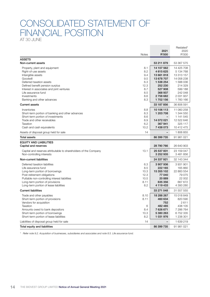# CONSOLIDATED STATEMENT OF FINANCIAL POSITION

AT 30 JUNE

|                                                                                                                                                                                                                                                      | <b>Notes</b>                                      | 2021<br>R'000                                                                  | Restated*<br>2020<br>R'000                                                    |
|------------------------------------------------------------------------------------------------------------------------------------------------------------------------------------------------------------------------------------------------------|---------------------------------------------------|--------------------------------------------------------------------------------|-------------------------------------------------------------------------------|
| <b>ASSETS</b>                                                                                                                                                                                                                                        |                                                   |                                                                                |                                                                               |
| Non-current assets                                                                                                                                                                                                                                   |                                                   | 53 211 879                                                                     | 53 367 575                                                                    |
| Property, plant and equipment<br>Right-of-use assets<br>Intangible assets<br>Goodwill                                                                                                                                                                | 8.1<br>8.2<br>9.4<br>9.5                          | 14 107 562<br>4615625<br>13 661 818<br>13 678 707                              | 14 425 708<br>5 134 768<br>13 313 157<br>14 058 238                           |
| Deferred taxation assets<br>Defined benefit pension surplus<br>Interest in associates and joint ventures<br>Life assurance fund<br>Investments<br>Banking and other advances                                                                         | 6.3<br>12.3<br>8.7<br>8.5<br>8.6<br>8.3           | 1 538 254<br>252 230<br>527 908<br>368 937<br>2758682<br>1702156               | 1 588 036<br>214 329<br>599 188<br>242 048<br>2 031 937<br>1760 166           |
| <b>Current assets</b>                                                                                                                                                                                                                                |                                                   | 33 187 856                                                                     | 36 806 591                                                                    |
| Inventories<br>Short-term portion of banking and other advances<br>Short-term portion of investments<br>Trade and other receivables<br>Taxation<br>Cash and cash equivalents                                                                         | 8.8<br>8.3<br>8.6<br>8.9<br>6.2<br>10.2           | 10 106 113<br>1 203 708<br>14 072 021<br>367 941<br>7 438 073                  | 11 060 258<br>1 344 550<br>1 141 545<br>12 522 646<br>325 117<br>10 412 475   |
| Assets of disposal group held for sale                                                                                                                                                                                                               | 14                                                |                                                                                | 1 806 855                                                                     |
| <b>Total assets</b>                                                                                                                                                                                                                                  |                                                   | 86 399 735                                                                     | 91 981 021                                                                    |
| <b>EQUITY AND LIABILITIES</b>                                                                                                                                                                                                                        |                                                   |                                                                                |                                                                               |
| Capital and reserves                                                                                                                                                                                                                                 |                                                   | 28 790 766                                                                     | 26 640 903                                                                    |
| Capital and reserves attributable to shareholders of the Company<br>Non-controlling interests                                                                                                                                                        | 13.1                                              | 25 537 831<br>3 252 935                                                        | 23 159 047<br>3 481 856                                                       |
| Non-current liabilities                                                                                                                                                                                                                              |                                                   | 24 337 921                                                                     | 32 143 344                                                                    |
| Deferred taxation liabilities<br>Life assurance fund<br>Long-term portion of borrowings<br>Post-retirement obligations<br>Puttable non-controlling interest liabilities<br>Long-term portion of provisions<br>Long-term portion of lease liabilities | 6.3<br>8.5<br>10.3<br>12.3<br>10.5<br>8.11<br>8.2 | 3907936<br>222 165<br>15 355 102<br>77 040<br>20889<br>635 356<br>4 119 433    | 3931901<br>165 860<br>22 883 554<br>79 0 75<br>22 002<br>667 672<br>4 393 280 |
| <b>Current liabilities</b>                                                                                                                                                                                                                           |                                                   | 33 271 048                                                                     | 31 557 555                                                                    |
| Trade and other payables<br>Short-term portion of provisions<br>Vendors for acquisition<br>Taxation<br>Amounts owed to bank depositors<br>Short-term portion of borrowings<br>Short-term portion of lease liabilities                                | 8.10<br>8.11<br>6<br>8.4<br>10.3<br>8.2           | 18 288 267<br>460 634<br>752<br>482 485<br>7 626 671<br>5 380 263<br>1 031 976 | 15 018 849<br>820 590<br>2611<br>438 105<br>7 286 764<br>6752335<br>1 238 301 |
| Liabilities of disposal group held for sale                                                                                                                                                                                                          | 14                                                |                                                                                | 1 639 219                                                                     |
| Total equity and liabilities                                                                                                                                                                                                                         |                                                   | 86 399 735                                                                     | 91 981 021                                                                    |

*\* Refer note 9.2. Acquisition of businesses, subsidiaries and associates and note 8.5. Life assurance fund.*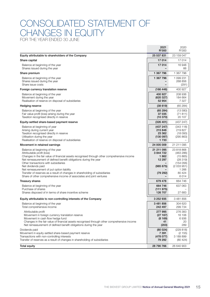## CONSOLIDATED STATEMENT OF HANGES IN FOUTY FOR THE YEAR ENDED 30 JUNE

 2021 2020 R'000 R'000 Equity attributable to shareholders of the Company 25 537 831 23 159 047 Share capital 17 014 17 014 17 014 17 014 17 014 17 014 17 014 17 014 17 014 17 014 17 014 17 014 17 014 17 01 Balance at beginning of the year 17 014 16 948 Shares issued during the year **66** and the year **66** and the year  $\frac{1}{2}$  and the year 66 and the year  $\frac{1}{2}$  and the year 66 and the year  $\frac{1}{2}$  and the year  $\frac{1}{2}$  and the year  $\frac{1}{2}$  and the year  $\frac{1}{2}$ **Share premium 1 367 796 1 367 796 1 367 796 1 367 796 1 367 796 1 367 796 1 367 796 1 367 796 1 367 796 1 367 796 1 367 796 1 367 796 1 367 796 1 367 796 1 367 796 1 367 796 1 367 796 1 367 796 1 367 796 1 367 796 1 367 7** Balance at beginning of the year 1 367 796 1 099 231 Shares issued during the year **Figure 1.268 856** Shares issued during the year **Figure 2.68 856** Shares issued during the year Share issue costs – (291) Foreign currency translation reserve the contract of the contract of the contract of the contract of the contract of the contract of the contract of the contract of the contract of the contract of the contract of the contr Balance at beginning of the year 400 927 208 936 Movement during the year (620 327) 184 664 Realisation of reserve on disposal of subsidiaries 52 954 7 327 Hedging reserve (38 619) (65 284) Balance at beginning of the year (13 580)<br>
Fair value profit (loss) arising during the year (71 811) (65 284) (13 580) (71 811) Fair value profit (loss) arising during the year 37 035 (71 811) Taxation recognised directly in reserve (10 370) 20 107 Equity-settled share-based payment reserve (326 401) (437 247) Balance at beginning of year (343 118)<br>Arising during current vear (343 118)<br>Arising during current vear (219 827) Arising during current year 219 827 and the state of the state of the state of the state of the state of the state of the state of the state of the state of the state of the state of the state of the state of the state of Taxation recognised directly in reserve 23 362 (18 093)<br>
Utilisation during the year (18 093) (295 863) Utilisation during the year Realisation of reserve on disposal of subsidiaries 1 733 – 1733 Movement in retained earnings and the state of the state of the state of the state of the state of the state of the state of the state of the state of the state of the state of the state of the state of the state of the st Balance at beginning of the year 23 818 868 Attributable profit (loss) (463 286)<br>Changes in the fair value of financial assets recognised through other comprehensive income (1862 - 1862 (15 Changes in the fair value of financial assets recognised through other comprehensive income **1862** (15 865)<br>Net remeasurement of defined benefit obligations during the vear<br>
12 297 (28 319) Net remeasurement of defined benefit obligations during the year Other transactions with subsidiaries example of the contractions with subsidiaries (154 056) Net dividends paid (2 033 951) (2 033 951) Net remeasurement of put option liability and the state of the state of the state of the state of the state of the state of the state of the state of the state of the state of the state of the state of the state of the sta Transfer of reserves as a result of changes in shareholding of subsidiaries (79 292) 80 424 Share of other comprehensive income of associates and joint ventures and solid and solid and solid and solid and  $\sim$  6014 Treasury shares 664 746 **664 746** 664 746 **664 746 664 746** Balance at beginning of the year 637 063 and the set of the year 664 746 637 063 Purchase of shares (111 975)  $-$ <br>
Shares disposed of in terms of share incentive scheme (27 683) (111 975) (111 975) (27 683 Shares disposed of in terms of share incentive scheme 126 707 126 707 Equity attributable to non-controlling interests of the Company 3 252 935 3 481 856 Balance at beginning of the year 304 620<br>
Total comprehensive income 33 481 856 304 620<br>
342 497 299 734 367 304 620 Total comprehensive income Attributable profit 277 995 276 383<br>Movement in foreign currency translation reserve 2000 2000 2000 2000 2000 16 106 Movement in foreign currency translation reserve Movement in cash flow hedge fund<br>Changes in the fair value of financial assets recognised through other comprehensive income (8 169) (8 169) 0 Changes in the fair value of financial assets recognised through other comprehensive income **41** 41 20<br>Net remeasurement of defined benefit obligations during the year (203) 289 Net remeasurement of defined benefit obligations during the year Dividends paid (80 024) (229 818) Movement in equity-settled share-based payment reserve 7 391 (2 155) Transactions with non-controlling interests (478 077) 3 189 899 Transfer of reserves as a result of changes in shareholding of subsidiaries **79 292** 79 292 (80 424) Total equity 28 790 766 26 640 903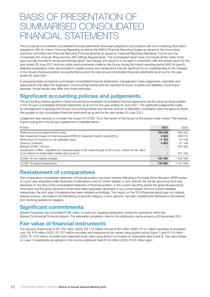# BASIS OF PRESENTATION OF SUMMARISED CONSOLIDATE FINANCIAL STATEMENTS

The provisional summarised consolidated financial statements have been prepared in accordance with and containing information required by IAS 34: *Interim Financial Reporting* as well as the SAICA Financial Reporting Guides as issued by the Accounting practices committee and Financial Reporting Pronouncements as issued by Financial Reporting Standards Council and the Companies Act of South Africa and the JSE Listings Requirements. The summarised report does not include all the notes of the type normally included in an annual financial report. Accordingly, this report is to be read in conjunction with the annual report for the year ended 30 June 2021 and any public announcements made by the Group during the interim reporting period (IAS 34 para 6). Selected explanatory notes are included to explain events and transactions that are significant to an understanding to the changes in the Group's financial position and performance since the last annual consolidated financial statements as at and for the year ended 30 June 2021.

In preparing these provisional summarised consolidated financial statements, management make judgements, estimates and assumptions that affect the application of accounting policies and the reported amounts of assets and liabilities, income and expense. Actual results may differ from these estimates.

## Significant accounting policies and judgements

The accounting policies applied in these provisional summarised consolidated financial statements are the same as those applied in the Group's consolidated financial statements as at and for the year ending 30 June 2021. The significant judgements made by management in applying the Group's accounting policies and the key sources of estimation uncertainty were the same as those that applied to the consolidated financial statements as at and for the year ended 30 June 2021.

Judgement was required to consider the impact of COVID-19 on the results of the Group for the period under review. The financial impact arising from the Group's assessment is detailed below:

| R'000s                                                                                                         | 2021    | 2020      |
|----------------------------------------------------------------------------------------------------------------|---------|-----------|
| Restructuring and retrenchment costs                                                                           | 160 638 | 460 443   |
| Net impairment losses on financial assets (IFRS 9: Expected Credit Losses (ECL))                               | 5 6 22  | 228 315   |
| Write-down of inventory to net realisable value                                                                | 11 302  | 54 738    |
| Onerous contracts                                                                                              | 4 9 0 3 | 57 148    |
| Bidvest COVID-19 Fund                                                                                          |         | 400 000   |
| Impairment of MIAL, classified as a financial asset at fair value through profit or loss, where the fair value |         |           |
| is not based on observable market data (Level 3)                                                               |         | 351 442   |
| COVID-19 non-capital charges                                                                                   | 182 465 | 552086    |
| COVID-19 capital impairments                                                                                   | 134 693 | 1 147 958 |

## Restatement of comparatives

The comparative consolidated statement of financial position has been restated following a Purchase Price Allocation (PPA) review of a prior year acquisition (refer Business Combinations note for further details). In prior periods the net life assurance fund was disclosed on the face of the consolidated statement of financial position. In the current reporting period the gross life assurance fund asset and the gross reinsurer's share have been separately disclosed in non-current assets and non-current liabilities respectively, the prior year comparative has been restated accordingly. The impact on the 2019 financial period was not material. Interest revenue, disclosed in the Rendering of services category in prior periods, has been restated and disclosed in the interest from banking operations category.

## Significant commitments

Bidvest Properties has committed R195 million to build two Gauteng distribution centres for operations within the Bidvest Commercial Products division. The estimated completion date for the distribution centre project is 30 November 2021.

## Fair value of financial instruments

The Group's investments of R2 759 million (2020: R3 173 million) include R163 million (2020: R141 million) recorded at amortised cost, R2 476 million (2020: R1 757 million) recorded and measured at fair values using quoted prices (Level 1) and R119 million (2020: R1 276 million) recorded and measured at fair value using factors not based on observable data (Level 3). Fair value losses on Level 3 investments recognised in the income statement total R140 million (2020: R103 million gain).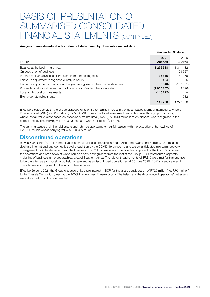# BASIS OF PRESENTATION OF SUMMARISED CONSOLIDAT FINANCIAL STATEMENTS (CONTINUED)

### Analysis of investments at a fair value not determined by observable market data

|                                                                                  |                 | Year ended 30 June |
|----------------------------------------------------------------------------------|-----------------|--------------------|
| R'000s                                                                           | 2021<br>Audited | 2020<br>Audited    |
| Balance at the beginning of year                                                 | 1 276 338       | 1 311 132          |
| On acquisition of business                                                       |                 | 29 627             |
| Purchases, loan advances or transfers from other categories                      | 36 815          | 41 169             |
| Fair value adjustment recognised directly in equity                              | 124             | 55                 |
| Fair value adjustment arising during the year recognised in the income statement | (3040)          | (102 831)          |
| Proceeds on disposal, repayment of loans or transfers to other categories        | (1050807)       | (3 396)            |
| Loss on disposal of investments                                                  | (140 222)       |                    |
| Exchange rate adjustments                                                        |                 | 582                |
|                                                                                  | 119 208         | 1 276 338          |

Effective 5 February 2021 the Group disposed of its entire remaining interest in the Indian-based Mumbai International Airport Private Limited (MIAL) for R1.0 billion (Rcr 505). MIAL was an unlisted investment held at fair value through profit or loss, where the fair value is not based on observable market data (Level 3). A R140 million loss on disposal was recognised in the current period. The carrying value at 30 June 2020 was R1.1 billion (Rcr 497).

The carrying values of all financial assets and liabilities approximate their fair values, with the exception of borrowings of R20 796 million whose carrying value is R20 735 million.

## Discontinued operations

Bidvest Car Rental (BCR) is a motor vehicle rental business operating in South Africa, Botswana and Namibia. As a result of declining international and domestic travel brought on by the COVID-19 pandemic and a slow anticipated mid-term recovery, management took the decision to exit the business. The BCR business is an identifiable component of the Group's business, the operations and cash flows of which can be clearly distinguished from the rest of the Group. BCR represents a separate major line of business in the geographical area of Southern Africa. The relevant requirements of IFRS 5 were met for this operation to be classified as a disposal group held for sale and as a discontinued operation as at 30 June 2020. BCR is a separate and major business component of the Automotive segment.

Effective 29 June 2021 the Group disposed of its entire interest in BCR for the gross consideration of R725 million (net R701 million) to the Thesele Consortium, lead by the 100% black-owned Thesele Group. The balance of the discontinued operations' net assets were disposed of on the open market.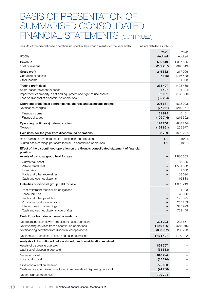# BASIS OF PRESENTATION OF SUMMARISED CONSOLIDATED FINANCIAL STATEMENTS (CONTINUED)

Results of the discontinued operation included in the Group's results for the year ended 30 June are detailed as follows:

| R'000s                                                                                                         | 2021<br>Audited              | 2020<br>Audited      |
|----------------------------------------------------------------------------------------------------------------|------------------------------|----------------------|
| Revenue                                                                                                        | 536819                       | 1 057 525            |
| Cost of revenue                                                                                                | (291 257)                    | (840519)             |
| Gross profit                                                                                                   | 245 562                      | 217 006              |
| Operating expenses                                                                                             | (7135)                       | (716538)             |
| Other income                                                                                                   |                              | 1 0 6 3              |
| Trading profit (loss)                                                                                          | 238 427                      | (498 469)            |
| Share-based payment expense                                                                                    | 1 4 2 7                      | (1 324)              |
| Impairment of property, plant and equipment and right-of-use assets                                            | 52 051                       | (128 300)            |
| Loss on disposal of discontinued operations                                                                    | (85 224)                     |                      |
| Operating profit (loss) before finance charges and associate income                                            | 206 681                      | (628093)             |
| Net finance charges                                                                                            | (77931)                      | (210151)             |
| Finance income                                                                                                 | 31 815                       | 5 1 5 1              |
| Finance charges                                                                                                | (109746)                     | (215 302)            |
| Operating profit (loss) before taxation                                                                        | 128 750                      | (838 244)            |
| Taxation                                                                                                       | (124961)                     | 205 977              |
| Gain (loss) for the year from discontinued operations                                                          | 3789                         | (632 267)            |
| Basic earnings per share (cents) – discontinued operations                                                     | 1.1                          | (186.4)              |
| Diluted basic earnings per share (cents) – discontinued operations                                             | 1.1                          | (186.1)              |
| Effect of the discontinued operation on the Group's consolidated statement of financial<br>position            |                              |                      |
| Assets of disposal group held for sale                                                                         | $\qquad \qquad \blacksquare$ | 1806855              |
| Current tax asset                                                                                              |                              | 58 335               |
| Vehicle rental fleet                                                                                           |                              | 1 561 338            |
| Inventories                                                                                                    |                              | 1 600                |
| Trade and other receivables                                                                                    |                              | 168 694              |
| Cash and cash equivalents                                                                                      |                              | 16888                |
| Liabilities of disposal group held for sale                                                                    | -                            | 1 639 219            |
| Post-retirement medical aid obligations                                                                        |                              | 1 1 2 3              |
| Lease liabilities                                                                                              |                              | 78 096               |
| Trade and other payables                                                                                       |                              | 195 325              |
| Provisions for discontinuation                                                                                 |                              | 255 233              |
| Interest-bearing borrowings<br>Cash and cash equivalents (overdrafts)                                          |                              | 345 993<br>763 449   |
| Cash flows from discontinued operations                                                                        |                              |                      |
|                                                                                                                | 393 293                      |                      |
| Net operating cash flows from discontinued operations<br>Net investing activities from discontinued operations | 1 440 186                    | 232 661<br>(653 016) |
| Net financing activities from discontinued operations                                                          | (358982)                     | 290 223              |
| Net increase (decrease) in cash and cash equivalents                                                           | 1 474 497                    | (130 132)            |
| Analysis of discontinued net assets sold and consideration received                                            |                              |                      |
| Assets of disposal group sold                                                                                  | 864 757                      |                      |
| Liabilities of disposal group sold                                                                             | (54533)                      |                      |
| Net assets sold                                                                                                | 810 224                      |                      |
| Loss on disposal                                                                                               | (85 224)                     |                      |
| Gross consideration received                                                                                   | 725 000                      |                      |
| Cash and cash equivalents included in net assets of disposal group sold                                        | (24 206)                     |                      |
| Net consideration received                                                                                     | 700 794                      |                      |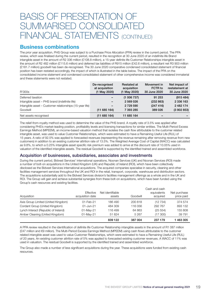# BASIS OF PRESENTATION OF SUMMARISED CONSOLIDATE FINANCIAL STATEMENTS (CONTINUED)

## Business combinations

The prior year acquisition, PHS Group was subject to a Purchase Price Allocation (PPA) review in the current period. The PPA review, which was finalised during the current period, resulted in the recognition at 30 June 2020 of an indefinite life Brand intangible asset in the amount of R2 336 million (£108.8 million), a 15-year definite life Customer Relationships intangible asset in the amount of R2 482 million (£115.6 million) and deferred tax liabilities of R915 million (£42.6 million), a resultant net R3 903 million (£181.7 million) goodwill has been de-recognised. The 30 June 2020 comparative condensed consolidated statement of financial position has been restated accordingly, the impact of which is illustrated in the table below. The impact of the PPA on the consolidated income statement and condensed consolidated statement of other comprehensive income was considered immaterial and these statements were not restated.

| R'000s                                                   | De-recognised<br>at acquisition<br>(1 May 2020) | <b>Restated at</b><br>acquisition<br>(1 May 2020) | Movement in<br>FCTR to<br>30 June 2020 | Net impact of<br>restatement at<br>30 June 2020 |
|----------------------------------------------------------|-------------------------------------------------|---------------------------------------------------|----------------------------------------|-------------------------------------------------|
| Deferred taxation                                        |                                                 | (1006737)                                         | 91 253                                 | (915 484)                                       |
| Intangible asset - PHS brand (indefinite life)           | $\overline{\phantom{m}}$                        | 2 569 026                                         | (232 863)                              | 2 336 163                                       |
| Intangible asset – Customer relationships (15-year life) | $\overline{\phantom{a}}$                        | 2 729 590                                         | (247 416)                              | 2 482 174                                       |
| Goodwill                                                 | (11685164)                                      | 7 393 285                                         | 389 026                                | (3902853)                                       |
| Net assets recognised                                    | (11685164)                                      | 11 685 164                                        |                                        |                                                 |

The relief-from-royalty method was used to determine the value of the PHS brand. A royalty rate of 3.5% was applied after considering PHS's market-leading position, profitability levels and licensing transactions for similar entities. The Multi-Period Excess Earnings Method (MPEEM), an income-based valuation method that isolates the cash flow attributable to the customer related intangible asset, was used to value Customer Relationships, which were estimated to have a Remaining Useful Life (RUL) of 15 years. A ratio of 92.5% was applied to forecasted revenues (representing the revenue remaining after removing revenue from new customers) in addition to an existing customer attrition rate of 13.5%. The Weighted Average Cost of Capital (WACC) was calculated as 9.8%, to which a 0.25% intangible asset specific risk premium was added to arrive at the discount rate of 10.05% used in valuation of the identified intangible assets. The residual Goodwill is supported by the identified trained and assembled workforce.

### Acquisition of businesses, subsidiaries, associates and investments

During the current period, Bidvest Services' international operations, Noonan Services (UK) and Noonan Services (ROI) made a number of bolt-on acquisitions in the United Kingdom (UK) and Republic of Ireland (ROI), which have been collectively disclosed as the Bidvest Services international acquisitions. The acquired companies specialise in security, cleaning and other facilities management services throughout the UK and ROI in the retail, transport, corporate, warehouse and distribution sectors. The acquisitions substantially add to the Bidvest Services division's facilities management offerings as a whole and in the UK and ROI. The Group will gain and achieve substantial synergies from these bolt-on acquisitions, which have been funded using the Group's cash resources and existing facilities.

| Acquisition                          | <b>Effective</b><br>acquisition date | Net identifiable<br>assets | Goodwill | Cash and cash<br>equivalents<br>acquired | Net purchase<br>price paid |
|--------------------------------------|--------------------------------------|----------------------------|----------|------------------------------------------|----------------------------|
| Axis Group Limited (United Kingdom)  | $01$ -Feb-21                         | 186 490                    | 200818   | (12734)                                  | 374 574                    |
| Cordant Group (United Kingdom)       | 01-Jun-21                            | 484 309                    | 116 056  | 292 767                                  | 893 132                    |
| Lynch Interact (Republic of Ireland) | 01-May-21                            | 116 499                    | 64 863   | (25 554)                                 | 155 808                    |
| Amber Cleaning (United Kingdom)      | 01-May-21                            | 51824                      | 5 2 6 7  | (17300)                                  | 39 791                     |
|                                      |                                      | 839 122                    | 387 004  | 237 179                                  | 463 305                    |

A PPA review resulted in the identification of definite life Customer Relationship intangible assets in the amount of R1 087 million (£47 million and €9 million). The Multi-Period Excess Earnings Method (MPEEM) using cash flows attributable to the customer related intangible asset was used to value Customer Relationships, which were estimated to have a Remaining Useful Life (RUL) of 20 years. An existing customer attrition rate of 5% was applied to forecasted existing customer revenues. A WACC of 11% was used in valuation. The residual Goodwill is supported by the identified trained and assembled workforce.

The Group also made a number of less significant acquisitions during the year. These acquisitions were funded from existing cash resources.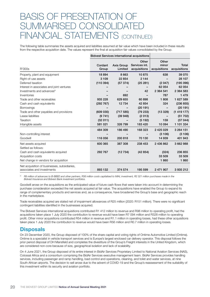# BASIS OF PRESENTATION OF SUMMARISED CONSOLIDAT FINANCIAL STATEMENTS (CONTINUED)

The following table summaries the assets acquired and liabilities assumed at fair value which have been included in these results from the respective acquisition date. The values represent the final at acquisition fair values consolidated by the Group.

| R'000s                                       | Cordant<br>Group | Axis Group<br>Limited | Other<br>Services int.<br>acquisitions | Other<br>minor<br>acquisitions | Total<br>acquisitions |
|----------------------------------------------|------------------|-----------------------|----------------------------------------|--------------------------------|-----------------------|
| Property, plant and equipment                | 18 894           | 8 6 6 3               | 10875                                  | 638                            | 39 0 70               |
| Right-of-use assets                          | 3 1 0 9          | 22 8 54               | 2 1 4 4                                |                                | 28 107                |
| Deferred taxation                            | (110394)         | (57374)               | (25 281)                               | (2047)                         | (195096)              |
| Interest in associates and joint ventures    |                  |                       |                                        | 62 054                         | 62 054                |
| Investments and advances <sup>o</sup>        |                  |                       | 42                                     | 2 3 64 5 41                    | 2 364 583             |
| Inventories                                  |                  | 692                   |                                        | 787                            | 1479                  |
| Trade and other receivables                  | 935 228          | 629 655               | 60898                                  | 1808                           | 1 627 589             |
| Cash and cash equivalents                    | (292 767)        | 12734                 | 42 854                                 | 324                            | (236 855)             |
| <b>Borrowings</b>                            |                  |                       | (20191)                                |                                | (20191)               |
| Trade and other payables and provisions      | (609 030)        | (717585)              | (79 233)                               | (13329)                        | (1419177)             |
| Lease liabilities                            | (9741)           | (39948)               | (2013)                                 |                                | (51 702)              |
| Taxation                                     | (32011)          |                       | (5192)                                 | 159                            | (37044)               |
| Intangible assets                            | 581 021          | 326 799               | 183 420                                | 10 094                         | 1 101 334             |
|                                              | 484 309          | 186 490               | 168 323                                | 2 4 2 5 0 2 9                  | 3 264 151             |
| Non-controlling interest                     |                  |                       |                                        | (3106)                         | (3106)                |
| Goodwill                                     | 116 056          | 200 818               | 70 130                                 | 14 939                         | 401 943               |
| Net assets acquired<br>Settled as follows:   | 600 365          | 387 308               | 238 453                                | 2 436 862                      | 3 662 988             |
|                                              |                  |                       |                                        |                                |                       |
| Cash and cash equivalents acquired           | 292 767          | (12734)               | (42854)                                | (324)<br>33 509                | 236 855<br>33 509     |
| Acquisition costs                            |                  |                       |                                        |                                |                       |
| Net change in vendors for acquisition        |                  |                       |                                        | 1860                           | 1860                  |
| Net acquisition of businesses, subsidiaries, |                  |                       |                                        |                                |                       |
| associates and investments                   | 893 132          | 374 574               | 195 599                                | 2 471 907                      | 3 935 212             |

*º R8 million of advances to B-BBEE and other partners, R36 million costs capitalised to MIAL investment, R2 321 million purchases made in the Bidvest Insurance and Bidvest Bank investment portfolios.*

Goodwill arose on the acquisitions as the anticipated value of future cash flows that were taken into account in determining the purchase consideration exceeded the net assets acquired at fair value. The acquisitions have enabled the Group to expand its range of complementary products and services and, as a consequence, have broadened the Group's base and geographic reach in the marketplace.

Trade receivables acquired are stated net of impairment allowances of R25 million (2020: R151 million). There were no significant contingent liabilities identified in the businesses acquired.

The Bidvest Services international acquisitions contributed R1 412 million to revenue and R98 million to operating profit, had the acquisitions taken place 1 July 2020 the contribution to revenue would have been R7 094 million and R328 million to operating profit. Other minor acquisitions contributed R54 million in revenue and R1.1 million in operating losses, had these other acquisitions taken place 1 July 2020 the contribution to revenue would have been R56 million and R0.7 million in operating losses.

## **Disposals**

On 23 December 2020, the Group disposed of 100% of the share capital and voting rights of Ontime Automotive Limited (Ontime). Ontime is a specialist in vehicle transport services and is Europe's largest enclosed car delivery operator. This disposal follows the prior period disposal of DH Mansfield and completes the divestiture of the Group's Freight interests in the United Kingdom, which are considered non-core because of size, geographical isolation and lack of scalability.

On 4 June 2021, the Group disposed of its entire interest in BidAir Services Proprietary Limited to National Aviation Services (NAS), Colossal Africa and a consortium comprising the BidAir Services executive management team. BidAir Services provides handling services, including passenger and ramp handling, load control and operations, cleaning, and toilet and water services, at nine South African airports. The decision to sell arose due to the advent of COVID-19 and the Group's reassessment of the suitability of this investment within its security and aviation portfolio.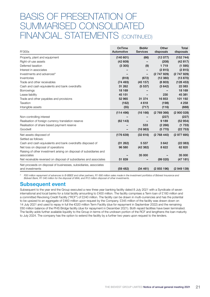# BASIS OF PRESENTATION OF SUMMARISED CONSOLIDATED FINANCIAL STATEMENTS (CONTINUED)

| R'000s                                                              | OnTime<br>Automotive | <b>BidAir</b><br><b>Services</b> | Other<br>disposals | Total<br>disposals |
|---------------------------------------------------------------------|----------------------|----------------------------------|--------------------|--------------------|
| Property, plant and equipment                                       | (140601)             | (66)                             | (12077)            | (152 744)          |
| Right-of-use assets                                                 | (42609)              |                                  | (208)              | (42817)            |
| Deferred taxation                                                   | (3305)               | (9)                              | 1719               | (1595)             |
| Interest in associates                                              |                      |                                  | (2815)             | (2815)             |
| Investments and advances <sup>o</sup>                               |                      | -                                | (2747929)          | (2 747 929)        |
| Inventories                                                         | (818)                | (672)                            | (12380)            | (13 870)           |
| Trade and other receivables                                         | (74493)              | (45157)                          | (8803)             | (128453)           |
| Cash and cash equivalents and bank overdrafts                       | 31 262               | (5537)                           | (3642)             | 22 083             |
| <b>Borrowings</b>                                                   | 18 169               |                                  |                    | 18 169             |
| Lease liability                                                     | 45 151               |                                  | 230                | 45 381             |
| Trade and other payables and provisions                             | 52 965               | 31 374                           | 16853              | 101 192            |
| Taxation                                                            | (162)                | 4618                             | (198)              | 4 2 5 8            |
| Intangible assets                                                   | (55)                 | (717)                            | (116)              | (888)              |
|                                                                     | (114 496)            | (16166)                          | (2769366)          | (2900028)          |
| Non-controlling interest                                            |                      |                                  | (227)              | (227)              |
| Realisation of foreign currency translation reserve                 | (62143)              |                                  | 9 1 8 9            | (52954)            |
| Realisation of share based payment reserve                          |                      | 533                              | (2 266)            | (1733)             |
| Goodwill                                                            |                      | (16983)                          | (5770)             | (22753)            |
| Net assets disposed of<br>Settled as follows:                       | (176639)             | (32616)                          | (2768440)          | (2977695)          |
| Cash and cash equivalents and bank overdrafts disposed of           | (31 262)             | 5 5 3 7                          | 3642               | (22083)            |
| Net loss on disposal of operations                                  | 96 580               | (42382)                          | 8622               | 62820              |
| Raising of other investment arising on disposal of subsidiaries and |                      |                                  |                    |                    |
| associates                                                          |                      | 35 000                           |                    | 35 000             |
| Net receivable reversed on disposal of subsidiaries and associates  | 51 839               |                                  | (99 020)           | (47181)            |
| Net proceeds on disposal of businesses, subsidiaries, associates    |                      |                                  |                    |                    |
| and investments                                                     | (59 482)             | (34 461)                         | (2855196)          | (2949139)          |

*º R30 million repayment of advances to B-BBEE and other partners, R1 666 million sales made in the investment portfolios of Bidvest Insurance and Bidvest Bank, R1 040 million for the disposal of MIAL and R12 million disposal of other investments.* 

## Subsequent event

Subsequent to the year end the Group executed a new three year banking facility dated 8 July 2021 with a Syndicate of seven international and local banks for a total facility amounting to £400 million. The facility comprises a Term loan of £160 million and a committed Revolving Credit Facility ("RCF") of £240 million. The facility can be drawn in multi-currencies and has the potential to be upsized to an aggregate of £460 million upon request by the Company. £345 million of the facility was drawn down on 14 July 2021 and used to repay in full the €320 million Term Facility (due for repayment in September 2022) and the remaining £60 million balance of the PHS Bridge facility (due for repayment in December 2021). Both repaid facilities have been terminated. The facility adds further available liquidity to the Group in terms of the undrawn portion of the RCF and lengthens the loan maturity to July 2024. The company has the option to extend the facility by a further two years upon request to the lenders.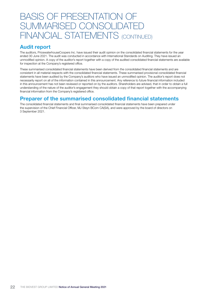# BASIS OF PRESENTATION OF SUMMARISED CONSOLIDATED FINANCIAL STATEMENTS (CONTINUED)

## Audit report

The auditors, PricewaterhouseCoopers Inc. have issued their audit opinion on the consolidated financial statements for the year ended 30 June 2021. The audit was conducted in accordance with International Standards on Auditing. They have issued an unmodified opinion. A copy of the auditor's report together with a copy of the audited consolidated financial statements are available for inspection at the Company's registered office.

These summarised consolidated financial statements have been derived from the consolidated financial statements and are consistent in all material respects with the consolidated financial statements. These summarised provisional consolidated financial statements have been audited by the Company's auditors who have issued an unmodified opinion. The auditor's report does not necessarily report on all of the information contained in this announcement. Any reference to future financial information included in this announcement has not been reviewed or reported on by the auditors. Shareholders are advised, that in order to obtain a full understanding of the nature of the auditor's engagement they should obtain a copy of that report together with the accompanying financial information from the Company's registered office.

## Preparer of the summarised consolidated financial statements

The consolidated financial statements and final summarised consolidated financial statements have been prepared under the supervision of the Chief Financial Officer, MJ Steyn BCom CA(SA), and were approved by the board of directors on 3 September 2021.